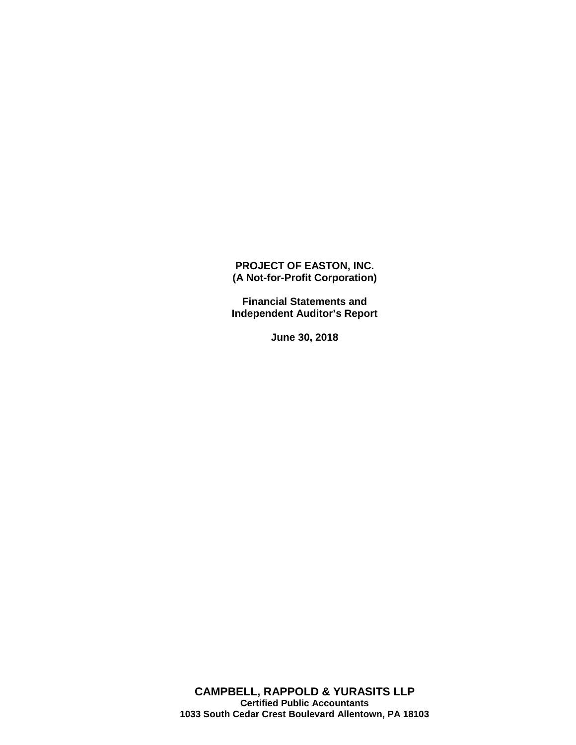**PROJECT OF EASTON, INC. (A Not-for-Profit Corporation)**

**Financial Statements and Independent Auditor's Report**

**June 30, 2018**

**CAMPBELL, RAPPOLD & YURASITS LLP Certified Public Accountants 1033 South Cedar Crest Boulevard Allentown, PA 18103**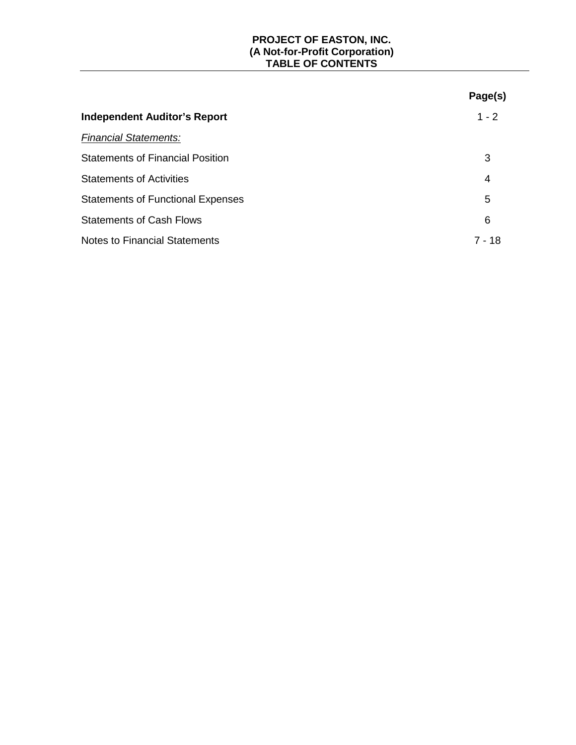## **PROJECT OF EASTON, INC. (A Not-for-Profit Corporation) TABLE OF CONTENTS**

|                                          | Page(s)  |
|------------------------------------------|----------|
| <b>Independent Auditor's Report</b>      | $1 - 2$  |
| <b>Financial Statements:</b>             |          |
| <b>Statements of Financial Position</b>  | 3        |
| <b>Statements of Activities</b>          | 4        |
| <b>Statements of Functional Expenses</b> | 5        |
| <b>Statements of Cash Flows</b>          | 6        |
| <b>Notes to Financial Statements</b>     | $7 - 18$ |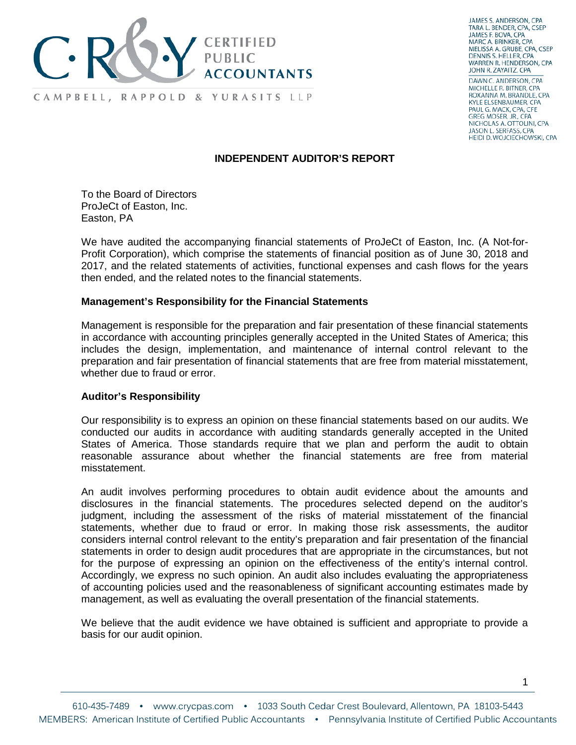

JAMES S. ANDERSON, CPA TARA L. BENDER, CPA, CSEP JAMES F. BOVA, CPA MARC A. BRINKER, CPA MELISSA A. GRUBE, CPA, CSEP DENNIS S. HELLER CPA WARREN R. HENDERSON, CPA JOHN R. ZAYAITZ, CPA DAWN C. ANDERSON, CPA MICHELLE R. BITNER, CPA ROXANNA M. BRANDLE, CPA KYLE ELSENBAUMER, CPA PAUL G. MACK, CPA, CFE GREG MOSER, JR., CPA NICHOLAS A. OTTOLINI, CPA **JASON L. SERFASS, CPA** HEIDI D. WOJCIECHOWSKI, CPA

# **INDEPENDENT AUDITOR'S REPORT**

To the Board of Directors ProJeCt of Easton, Inc. Easton, PA

We have audited the accompanying financial statements of ProJeCt of Easton, Inc. (A Not-for-Profit Corporation), which comprise the statements of financial position as of June 30, 2018 and 2017, and the related statements of activities, functional expenses and cash flows for the years then ended, and the related notes to the financial statements.

## **Management's Responsibility for the Financial Statements**

Management is responsible for the preparation and fair presentation of these financial statements in accordance with accounting principles generally accepted in the United States of America; this includes the design, implementation, and maintenance of internal control relevant to the preparation and fair presentation of financial statements that are free from material misstatement, whether due to fraud or error.

#### **Auditor's Responsibility**

Our responsibility is to express an opinion on these financial statements based on our audits. We conducted our audits in accordance with auditing standards generally accepted in the United States of America. Those standards require that we plan and perform the audit to obtain reasonable assurance about whether the financial statements are free from material misstatement.

An audit involves performing procedures to obtain audit evidence about the amounts and disclosures in the financial statements. The procedures selected depend on the auditor's judgment, including the assessment of the risks of material misstatement of the financial statements, whether due to fraud or error. In making those risk assessments, the auditor considers internal control relevant to the entity's preparation and fair presentation of the financial statements in order to design audit procedures that are appropriate in the circumstances, but not for the purpose of expressing an opinion on the effectiveness of the entity's internal control. Accordingly, we express no such opinion. An audit also includes evaluating the appropriateness of accounting policies used and the reasonableness of significant accounting estimates made by management, as well as evaluating the overall presentation of the financial statements.

We believe that the audit evidence we have obtained is sufficient and appropriate to provide a basis for our audit opinion.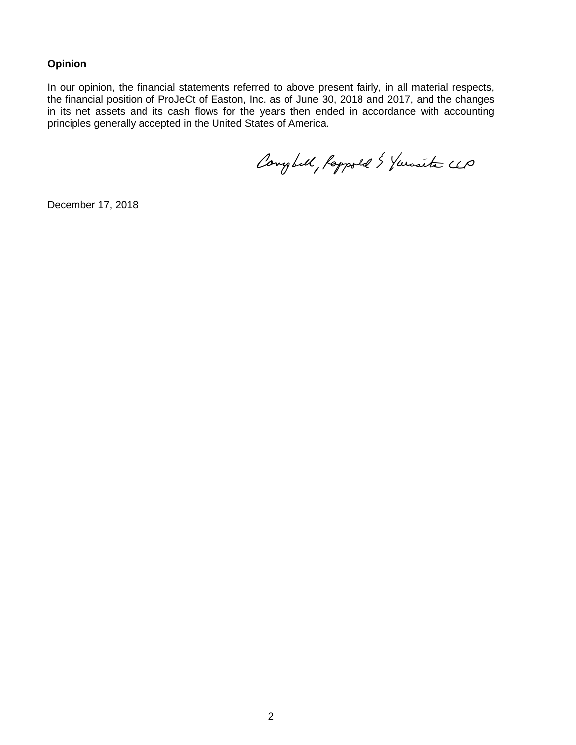# **Opinion**

In our opinion, the financial statements referred to above present fairly, in all material respects, the financial position of ProJeCt of Easton, Inc. as of June 30, 2018 and 2017, and the changes in its net assets and its cash flows for the years then ended in accordance with accounting principles generally accepted in the United States of America.

Cangbell, Rappold & Ywasta CCP

December 17 , 2018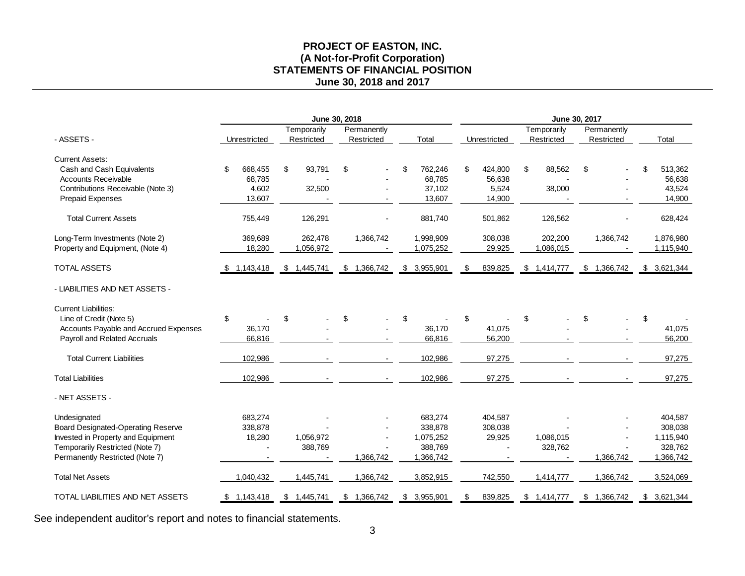## **PROJECT OF EASTON, INC. (A Not-for-Profit Corporation) STATEMENTS OF FINANCIAL POSITION June 30, 2018 and 2017**

| June 30, 2018                         |                |              |             | June 30, 2017   |               |              |             |                 |  |  |
|---------------------------------------|----------------|--------------|-------------|-----------------|---------------|--------------|-------------|-----------------|--|--|
|                                       |                | Temporarily  | Permanently |                 |               | Temporarily  | Permanently |                 |  |  |
| - ASSETS -                            | Unrestricted   | Restricted   | Restricted  | Total           | Unrestricted  | Restricted   | Restricted  | Total           |  |  |
| <b>Current Assets:</b>                |                |              |             |                 |               |              |             |                 |  |  |
| Cash and Cash Equivalents             | 668,455<br>\$. | \$<br>93,791 | \$          | 762,246<br>\$   | \$<br>424,800 | \$<br>88,562 | \$          | \$<br>513,362   |  |  |
| <b>Accounts Receivable</b>            | 68,785         |              |             | 68,785          | 56,638        |              |             | 56,638          |  |  |
| Contributions Receivable (Note 3)     | 4,602          | 32,500       |             | 37,102          | 5,524         | 38,000       |             | 43,524          |  |  |
| Prepaid Expenses                      | 13,607         |              |             | 13,607          | 14,900        |              |             | 14,900          |  |  |
| <b>Total Current Assets</b>           | 755,449        | 126,291      |             | 881,740         | 501,862       | 126,562      |             | 628,424         |  |  |
| Long-Term Investments (Note 2)        | 369,689        | 262,478      | 1,366,742   | 1,998,909       | 308,038       | 202,200      | 1,366,742   | 1,876,980       |  |  |
| Property and Equipment, (Note 4)      | 18,280         | 1,056,972    |             | 1,075,252       | 29,925        | 1,086,015    |             | 1,115,940       |  |  |
| <b>TOTAL ASSETS</b>                   | \$1,143,418    | \$1,445,741  | \$1,366,742 | \$3,955,901     | 839,825<br>\$ | \$1,414,777  | \$1,366,742 | 3,621,344<br>\$ |  |  |
| - LIABILITIES AND NET ASSETS -        |                |              |             |                 |               |              |             |                 |  |  |
| <b>Current Liabilities:</b>           |                |              |             |                 |               |              |             |                 |  |  |
| Line of Credit (Note 5)               | \$             | \$           | \$          | \$              | \$            | \$           | \$          | \$              |  |  |
| Accounts Payable and Accrued Expenses | 36,170         |              |             | 36,170          | 41,075        |              |             | 41,075          |  |  |
| Payroll and Related Accruals          | 66,816         |              |             | 66,816          | 56,200        |              |             | 56,200          |  |  |
| <b>Total Current Liabilities</b>      | 102,986        |              |             | 102,986         | 97,275        |              |             | 97,275          |  |  |
| <b>Total Liabilities</b>              | 102,986        |              |             | 102,986         | 97,275        |              |             | 97,275          |  |  |
| - NET ASSETS -                        |                |              |             |                 |               |              |             |                 |  |  |
| Undesignated                          | 683,274        |              |             | 683,274         | 404,587       |              |             | 404,587         |  |  |
| Board Designated-Operating Reserve    | 338,878        |              |             | 338,878         | 308,038       |              |             | 308,038         |  |  |
| Invested in Property and Equipment    | 18,280         | 1,056,972    |             | 1,075,252       | 29,925        | 1,086,015    |             | 1,115,940       |  |  |
| Temporarily Restricted (Note 7)       |                | 388,769      |             | 388,769         |               | 328,762      |             | 328,762         |  |  |
| Permanently Restricted (Note 7)       |                |              | 1,366,742   | 1,366,742       |               |              | 1,366,742   | 1,366,742       |  |  |
| <b>Total Net Assets</b>               | 1,040,432      | 1,445,741    | 1,366,742   | 3,852,915       | 742,550       | 1,414,777    | 1,366,742   | 3,524,069       |  |  |
| TOTAL LIABILITIES AND NET ASSETS      | \$1,143,418    | \$1,445,741  | \$1,366,742 | 3,955,901<br>\$ | 839,825<br>S  | \$1,414,777  | \$1,366,742 | \$3,621,344     |  |  |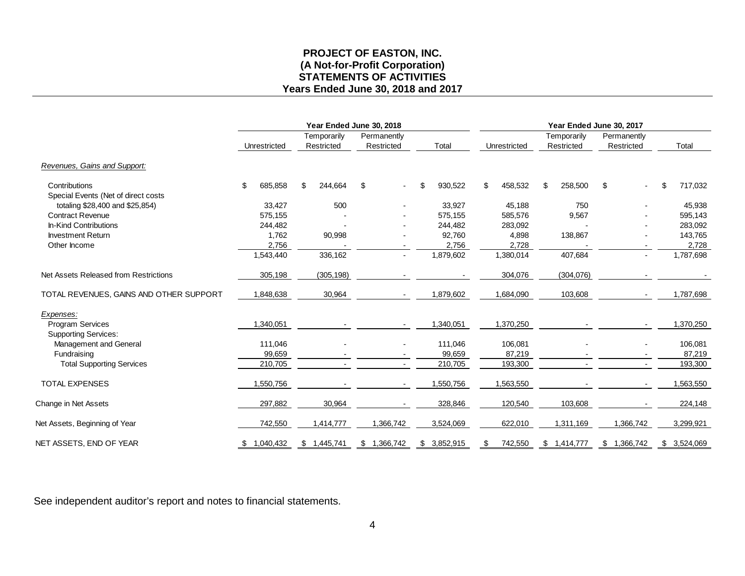### **PROJECT OF EASTON, INC. (A Not-for-Profit Corporation) STATEMENTS OF ACTIVITIES Years Ended June 30, 2018 and 2017**

|                                                      |               |                           | Year Ended June 30, 2018  | Year Ended June 30, 2017 |               |                           |                           |               |  |  |
|------------------------------------------------------|---------------|---------------------------|---------------------------|--------------------------|---------------|---------------------------|---------------------------|---------------|--|--|
|                                                      | Unrestricted  | Temporarily<br>Restricted | Permanently<br>Restricted | Total                    | Unrestricted  | Temporarily<br>Restricted | Permanently<br>Restricted | Total         |  |  |
| Revenues, Gains and Support:                         |               |                           |                           |                          |               |                           |                           |               |  |  |
| Contributions<br>Special Events (Net of direct costs | \$<br>685,858 | \$<br>244,664             | \$                        | \$<br>930,522            | 458,532<br>\$ | \$<br>258,500             | \$                        | \$<br>717,032 |  |  |
| totaling \$28,400 and \$25,854)                      | 33,427        | 500                       |                           | 33,927                   | 45,188        | 750                       |                           | 45,938        |  |  |
| <b>Contract Revenue</b>                              | 575,155       |                           |                           | 575,155                  | 585,576       | 9,567                     |                           | 595,143       |  |  |
| In-Kind Contributions                                | 244,482       |                           |                           | 244,482                  | 283,092       |                           |                           | 283,092       |  |  |
| <b>Investment Return</b>                             | 1,762         | 90,998                    |                           | 92,760                   | 4,898         | 138,867                   |                           | 143,765       |  |  |
| Other Income                                         | 2,756         |                           |                           | 2,756                    | 2,728         |                           |                           | 2,728         |  |  |
|                                                      | 1,543,440     | 336,162                   |                           | 1,879,602                | 1,380,014     | 407,684                   |                           | 1,787,698     |  |  |
| Net Assets Released from Restrictions                | 305,198       | (305, 198)                |                           |                          | 304,076       | (304, 076)                |                           |               |  |  |
| TOTAL REVENUES, GAINS AND OTHER SUPPORT              | 1,848,638     | 30,964                    |                           | 1,879,602                | 1,684,090     | 103,608                   |                           | 1,787,698     |  |  |
| Expenses:                                            |               |                           |                           |                          |               |                           |                           |               |  |  |
| <b>Program Services</b>                              | 1,340,051     |                           |                           | 1,340,051                | 1,370,250     |                           |                           | 1,370,250     |  |  |
| <b>Supporting Services:</b>                          |               |                           |                           |                          |               |                           |                           |               |  |  |
| Management and General                               | 111,046       |                           |                           | 111,046                  | 106,081       |                           |                           | 106,081       |  |  |
| Fundraising                                          | 99,659        |                           |                           | 99,659                   | 87,219        |                           |                           | 87,219        |  |  |
| <b>Total Supporting Services</b>                     | 210,705       |                           |                           | 210,705                  | 193,300       |                           |                           | 193,300       |  |  |
| <b>TOTAL EXPENSES</b>                                | 1,550,756     |                           |                           | 1,550,756                | 1,563,550     |                           |                           | 1,563,550     |  |  |
| Change in Net Assets                                 | 297,882       | 30,964                    |                           | 328,846                  | 120,540       | 103,608                   |                           | 224,148       |  |  |
| Net Assets, Beginning of Year                        | 742,550       | 1,414,777                 | 1,366,742                 | 3,524,069                | 622,010       | 1,311,169                 | 1,366,742                 | 3,299,921     |  |  |
| NET ASSETS, END OF YEAR                              | \$1,040,432   | \$<br>1,445,741           | \$1,366,742               | \$3,852,915              | 742,550<br>S  | \$1,414,777               | \$1,366,742               | \$3,524,069   |  |  |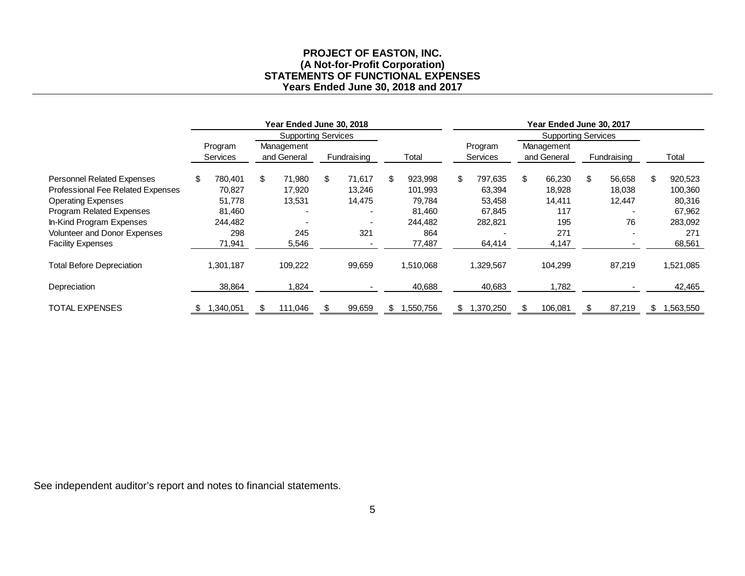#### **PROJECT OF EASTON, INC. (A Not-for-Profit Corporation) STATEMENTS OF FUNCTIONAL EXPENSES Years Ended June 30, 2018 and 2017**

|                                   |                 |     | Year Ended June 30, 2018   |    |             |       |           |     | Year Ended June 30, 2017   |            |             |    |             |     |           |
|-----------------------------------|-----------------|-----|----------------------------|----|-------------|-------|-----------|-----|----------------------------|------------|-------------|----|-------------|-----|-----------|
|                                   |                 |     | <b>Supporting Services</b> |    |             |       |           |     | <b>Supporting Services</b> |            |             |    |             |     |           |
|                                   | Program         |     | Management                 |    |             | Total |           |     | Program                    | Management |             |    |             |     |           |
|                                   | <b>Services</b> |     | and General                |    | Fundraising |       |           |     | <b>Services</b>            |            | and General |    | Fundraising |     | Total     |
| Personnel Related Expenses        | \$<br>780,401   | \$  | 71,980                     | \$ | 71,617      | £.    | 923,998   | \$. | 797,635                    | \$         | 66,230      | \$ | 56,658      |     | 920,523   |
| Professional Fee Related Expenses | 70,827          |     | 17,920                     |    | 13,246      |       | 101,993   |     | 63,394                     |            | 18,928      |    | 18,038      |     | 100,360   |
| <b>Operating Expenses</b>         | 51,778          |     | 13,531                     |    | 14,475      |       | 79,784    |     | 53,458                     |            | 14,411      |    | 12,447      |     | 80,316    |
| <b>Program Related Expenses</b>   | 81,460          |     |                            |    |             |       | 81,460    |     | 67,845                     |            | 117         |    |             |     | 67,962    |
| In-Kind Program Expenses          | 244,482         |     |                            |    |             |       | 244,482   |     | 282,821                    |            | 195         |    | 76          |     | 283,092   |
| Volunteer and Donor Expenses      | 298             |     | 245                        |    | 321         |       | 864       |     |                            |            | 271         |    |             |     | 271       |
| <b>Facility Expenses</b>          | 71,941          |     | 5,546                      |    |             |       | 77,487    |     | 64,414                     |            | 4,147       |    |             |     | 68,561    |
| <b>Total Before Depreciation</b>  | 1,301,187       |     | 109,222                    |    | 99,659      |       | 1,510,068 |     | 1,329,567                  |            | 104,299     |    | 87,219      |     | 1,521,085 |
| Depreciation                      | 38,864          |     | 1,824                      |    |             |       | 40,688    |     | 40,683                     |            | .782        |    |             |     | 42,465    |
| <b>TOTAL EXPENSES</b>             | 340,051         | \$. | 111,046                    |    | 99,659      | \$.   | 1,550,756 | S.  | ,370,250                   | S          | 106,081     |    | 87,219      | \$. | 1,563,550 |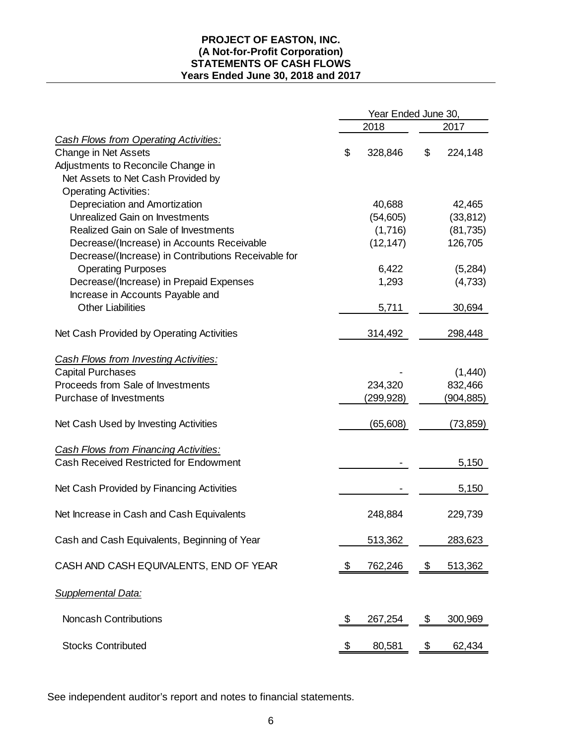## **PROJECT OF EASTON, INC. (A Not-for-Profit Corporation) STATEMENTS OF CASH FLOWS Years Ended June 30, 2018 and 2017**

|                                                                                                                                                                                                                                              | Year Ended June 30, |                                             |    |                                             |  |  |  |  |
|----------------------------------------------------------------------------------------------------------------------------------------------------------------------------------------------------------------------------------------------|---------------------|---------------------------------------------|----|---------------------------------------------|--|--|--|--|
|                                                                                                                                                                                                                                              |                     | 2018                                        |    | 2017                                        |  |  |  |  |
| <b>Cash Flows from Operating Activities:</b><br>Change in Net Assets<br>Adjustments to Reconcile Change in<br>Net Assets to Net Cash Provided by                                                                                             | \$                  | 328,846                                     | \$ | 224,148                                     |  |  |  |  |
| <b>Operating Activities:</b><br>Depreciation and Amortization<br>Unrealized Gain on Investments<br>Realized Gain on Sale of Investments<br>Decrease/(Increase) in Accounts Receivable<br>Decrease/(Increase) in Contributions Receivable for |                     | 40,688<br>(54, 605)<br>(1,716)<br>(12, 147) |    | 42,465<br>(33, 812)<br>(81, 735)<br>126,705 |  |  |  |  |
| <b>Operating Purposes</b><br>Decrease/(Increase) in Prepaid Expenses<br>Increase in Accounts Payable and<br><b>Other Liabilities</b>                                                                                                         |                     | 6,422<br>1,293<br>5,711                     |    | (5,284)<br>(4,733)<br>30,694                |  |  |  |  |
| Net Cash Provided by Operating Activities                                                                                                                                                                                                    |                     | 314,492                                     |    | 298,448                                     |  |  |  |  |
| <b>Cash Flows from Investing Activities:</b><br><b>Capital Purchases</b><br>Proceeds from Sale of Investments<br>Purchase of Investments                                                                                                     |                     | 234,320<br>(299,928)                        |    | (1,440)<br>832,466<br>(904,885)             |  |  |  |  |
| Net Cash Used by Investing Activities                                                                                                                                                                                                        |                     | (65, 608)                                   |    | (73,859)                                    |  |  |  |  |
| Cash Flows from Financing Activities:<br>Cash Received Restricted for Endowment                                                                                                                                                              |                     |                                             |    | 5,150                                       |  |  |  |  |
| Net Cash Provided by Financing Activities                                                                                                                                                                                                    |                     |                                             |    | 5,150                                       |  |  |  |  |
| Net Increase in Cash and Cash Equivalents                                                                                                                                                                                                    |                     | 248,884                                     |    | 229,739                                     |  |  |  |  |
| Cash and Cash Equivalents, Beginning of Year                                                                                                                                                                                                 |                     | 513,362                                     |    | 283,623                                     |  |  |  |  |
| CASH AND CASH EQUIVALENTS, END OF YEAR                                                                                                                                                                                                       | \$                  | 762,246                                     | \$ | 513,362                                     |  |  |  |  |
| Supplemental Data:                                                                                                                                                                                                                           |                     |                                             |    |                                             |  |  |  |  |
| <b>Noncash Contributions</b>                                                                                                                                                                                                                 | \$                  | 267,254                                     | \$ | 300,969                                     |  |  |  |  |
| <b>Stocks Contributed</b>                                                                                                                                                                                                                    | \$                  | 80,581                                      | \$ | 62,434                                      |  |  |  |  |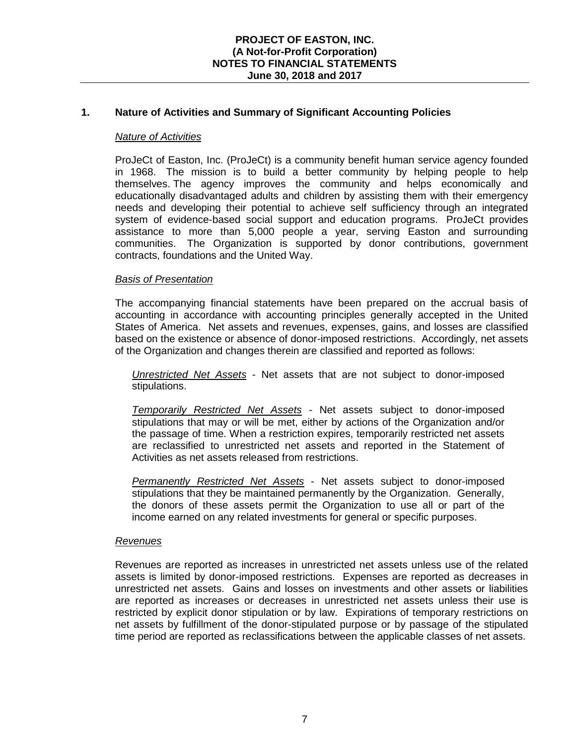## **1. Nature of Activities and Summary of Significant Accounting Policies**

#### *Nature of Activities*

ProJeCt of Easton, Inc. (ProJeCt) is a community benefit human service agency founded in 1968. The mission is to build a better community by helping people to help themselves. The agency improves the community and helps economically and educationally disadvantaged adults and children by assisting them with their emergency needs and developing their potential to achieve self sufficiency through an integrated system of evidence-based social support and education programs. ProJeCt provides assistance to more than 5,000 people a year, serving Easton and surrounding communities. The Organization is supported by donor contributions, government contracts, foundations and the United Way.

#### *Basis of Presentation*

The accompanying financial statements have been prepared on the accrual basis of accounting in accordance with accounting principles generally accepted in the United States of America. Net assets and revenues, expenses, gains, and losses are classified based on the existence or absence of donor-imposed restrictions. Accordingly, net assets of the Organization and changes therein are classified and reported as follows:

*Unrestricted Net Assets* - Net assets that are not subject to donor-imposed stipulations.

*Temporarily Restricted Net Assets* - Net assets subject to donor-imposed stipulations that may or will be met, either by actions of the Organization and/or the passage of time. When a restriction expires, temporarily restricted net assets are reclassified to unrestricted net assets and reported in the Statement of Activities as net assets released from restrictions.

*Permanently Restricted Net Assets* - Net assets subject to donor-imposed stipulations that they be maintained permanently by the Organization. Generally, the donors of these assets permit the Organization to use all or part of the income earned on any related investments for general or specific purposes.

#### *Revenues*

Revenues are reported as increases in unrestricted net assets unless use of the related assets is limited by donor-imposed restrictions. Expenses are reported as decreases in unrestricted net assets. Gains and losses on investments and other assets or liabilities are reported as increases or decreases in unrestricted net assets unless their use is restricted by explicit donor stipulation or by law. Expirations of temporary restrictions on net assets by fulfillment of the donor-stipulated purpose or by passage of the stipulated time period are reported as reclassifications between the applicable classes of net assets.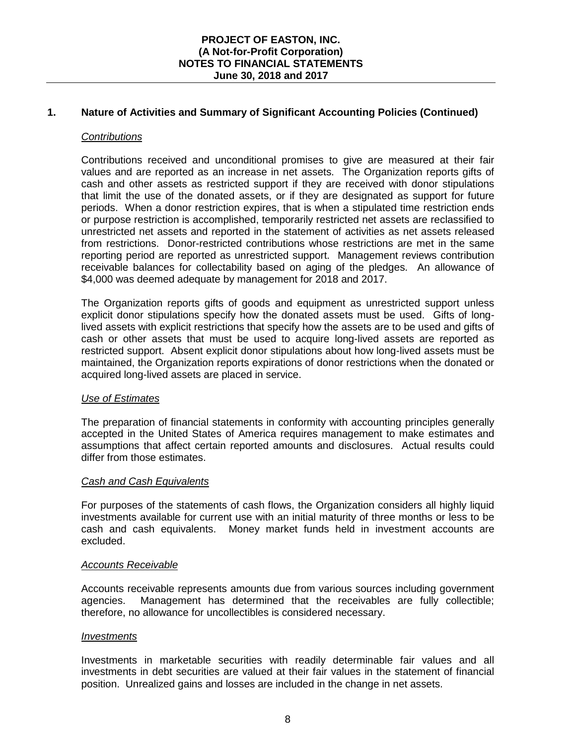## **1. Nature of Activities and Summary of Significant Accounting Policies (Continued)**

## *Contributions*

Contributions received and unconditional promises to give are measured at their fair values and are reported as an increase in net assets. The Organization reports gifts of cash and other assets as restricted support if they are received with donor stipulations that limit the use of the donated assets, or if they are designated as support for future periods. When a donor restriction expires, that is when a stipulated time restriction ends or purpose restriction is accomplished, temporarily restricted net assets are reclassified to unrestricted net assets and reported in the statement of activities as net assets released from restrictions. Donor-restricted contributions whose restrictions are met in the same reporting period are reported as unrestricted support. Management reviews contribution receivable balances for collectability based on aging of the pledges. An allowance of \$4,000 was deemed adequate by management for 2018 and 2017.

The Organization reports gifts of goods and equipment as unrestricted support unless explicit donor stipulations specify how the donated assets must be used. Gifts of longlived assets with explicit restrictions that specify how the assets are to be used and gifts of cash or other assets that must be used to acquire long-lived assets are reported as restricted support. Absent explicit donor stipulations about how long-lived assets must be maintained, the Organization reports expirations of donor restrictions when the donated or acquired long-lived assets are placed in service.

#### *Use of Estimates*

The preparation of financial statements in conformity with accounting principles generally accepted in the United States of America requires management to make estimates and assumptions that affect certain reported amounts and disclosures. Actual results could differ from those estimates.

#### *Cash and Cash Equivalents*

For purposes of the statements of cash flows, the Organization considers all highly liquid investments available for current use with an initial maturity of three months or less to be cash and cash equivalents. Money market funds held in investment accounts are excluded.

#### *Accounts Receivable*

Accounts receivable represents amounts due from various sources including government agencies. Management has determined that the receivables are fully collectible; therefore, no allowance for uncollectibles is considered necessary.

#### *Investments*

Investments in marketable securities with readily determinable fair values and all investments in debt securities are valued at their fair values in the statement of financial position. Unrealized gains and losses are included in the change in net assets.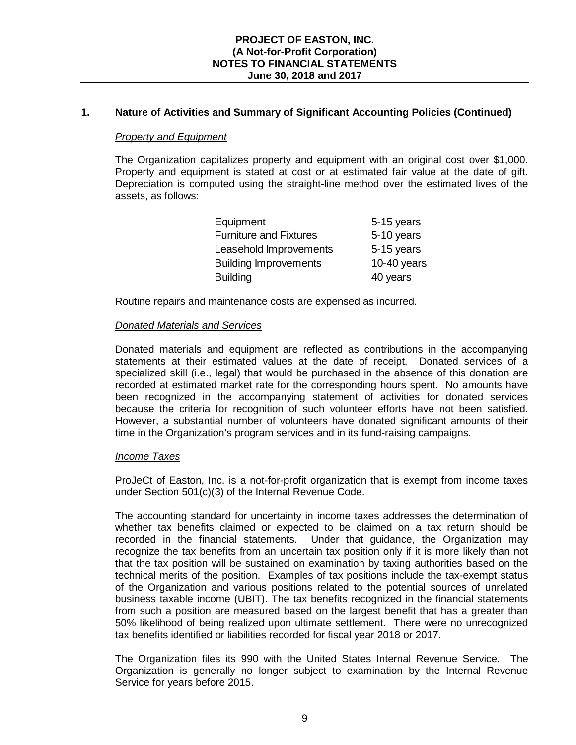## **1. Nature of Activities and Summary of Significant Accounting Policies (Continued)**

## *Property and Equipment*

The Organization capitalizes property and equipment with an original cost over \$1,000. Property and equipment is stated at cost or at estimated fair value at the date of gift. Depreciation is computed using the straight-line method over the estimated lives of the assets, as follows:

| Equipment                     | 5-15 years    |
|-------------------------------|---------------|
| <b>Furniture and Fixtures</b> | 5-10 years    |
| Leasehold Improvements        | 5-15 years    |
| <b>Building Improvements</b>  | $10-40$ years |
| <b>Building</b>               | 40 years      |

Routine repairs and maintenance costs are expensed as incurred.

## *Donated Materials and Services*

Donated materials and equipment are reflected as contributions in the accompanying statements at their estimated values at the date of receipt. Donated services of a specialized skill (i.e., legal) that would be purchased in the absence of this donation are recorded at estimated market rate for the corresponding hours spent. No amounts have been recognized in the accompanying statement of activities for donated services because the criteria for recognition of such volunteer efforts have not been satisfied. However, a substantial number of volunteers have donated significant amounts of their time in the Organization's program services and in its fund-raising campaigns.

### *Income Taxes*

ProJeCt of Easton, Inc. is a not-for-profit organization that is exempt from income taxes under Section 501(c)(3) of the Internal Revenue Code.

The accounting standard for uncertainty in income taxes addresses the determination of whether tax benefits claimed or expected to be claimed on a tax return should be recorded in the financial statements. Under that guidance, the Organization may recognize the tax benefits from an uncertain tax position only if it is more likely than not that the tax position will be sustained on examination by taxing authorities based on the technical merits of the position. Examples of tax positions include the tax-exempt status of the Organization and various positions related to the potential sources of unrelated business taxable income (UBIT). The tax benefits recognized in the financial statements from such a position are measured based on the largest benefit that has a greater than 50% likelihood of being realized upon ultimate settlement. There were no unrecognized tax benefits identified or liabilities recorded for fiscal year 2018 or 2017.

The Organization files its 990 with the United States Internal Revenue Service. The Organization is generally no longer subject to examination by the Internal Revenue Service for years before 2015.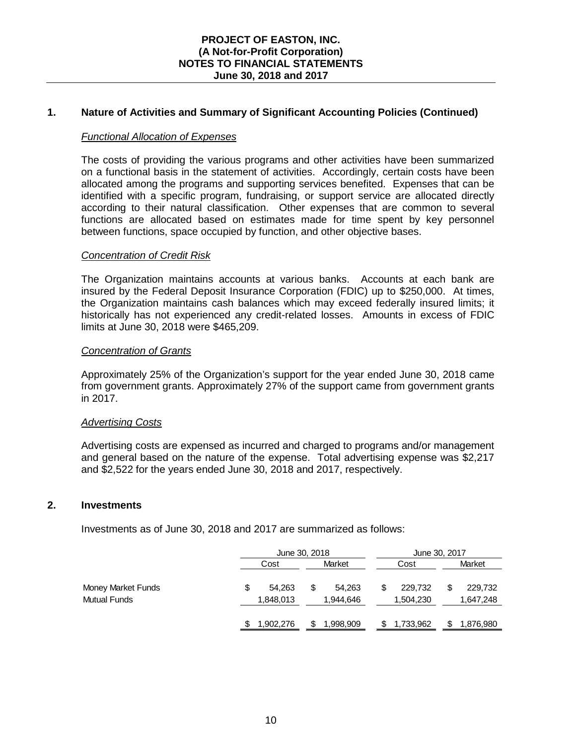## **1. Nature of Activities and Summary of Significant Accounting Policies (Continued)**

## *Functional Allocation of Expenses*

The costs of providing the various programs and other activities have been summarized on a functional basis in the statement of activities. Accordingly, certain costs have been allocated among the programs and supporting services benefited. Expenses that can be identified with a specific program, fundraising, or support service are allocated directly according to their natural classification. Other expenses that are common to several functions are allocated based on estimates made for time spent by key personnel between functions, space occupied by function, and other objective bases.

## *Concentration of Credit Risk*

The Organization maintains accounts at various banks. Accounts at each bank are insured by the Federal Deposit Insurance Corporation (FDIC) up to \$250,000. At times, the Organization maintains cash balances which may exceed federally insured limits; it historically has not experienced any credit-related losses. Amounts in excess of FDIC limits at June 30, 2018 were \$465,209.

#### *Concentration of Grants*

Approximately 25% of the Organization's support for the year ended June 30, 2018 came from government grants. Approximately 27% of the support came from government grants in 2017.

#### *Advertising Costs*

Advertising costs are expensed as incurred and charged to programs and/or management and general based on the nature of the expense. Total advertising expense was \$2,217 and \$2,522 for the years ended June 30, 2018 and 2017, respectively.

#### **2. Investments**

Investments as of June 30, 2018 and 2017 are summarized as follows:

|                     |           | June 30, 2018 | June 30, 2017 |           |  |  |
|---------------------|-----------|---------------|---------------|-----------|--|--|
| Money Market Funds  | Cost      | <b>Market</b> | Cost          | Market    |  |  |
|                     | 54.263    | \$<br>54.263  | 229,732       | 229,732   |  |  |
| <b>Mutual Funds</b> | 1,848,013 | 1,944,646     | 1,504,230     | 1,647,248 |  |  |
|                     | 1,902,276 | 1,998,909     | 1,733,962     | 1,876,980 |  |  |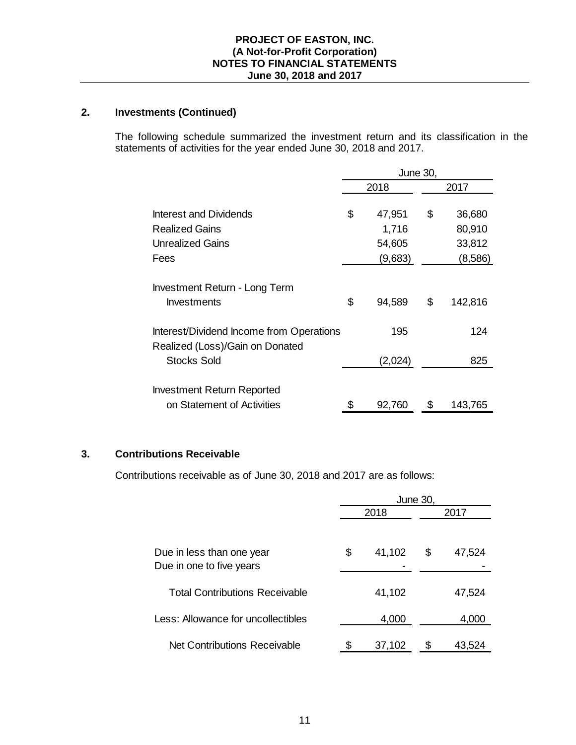## **2. Investments (Continued)**

The following schedule summarized the investment return and its classification in the statements of activities for the year ended June 30, 2018 and 2017.

|                                                                             | <b>June 30,</b> |         |    |         |  |  |  |
|-----------------------------------------------------------------------------|-----------------|---------|----|---------|--|--|--|
|                                                                             |                 | 2018    |    | 2017    |  |  |  |
|                                                                             |                 |         |    |         |  |  |  |
| Interest and Dividends                                                      | \$              | 47,951  | \$ | 36,680  |  |  |  |
| <b>Realized Gains</b>                                                       |                 | 1,716   |    | 80,910  |  |  |  |
| Unrealized Gains                                                            |                 | 54,605  |    | 33,812  |  |  |  |
| Fees                                                                        |                 | (9,683) |    | (8,586) |  |  |  |
| <b>Investment Return - Long Term</b>                                        |                 |         |    |         |  |  |  |
| Investments                                                                 | \$              | 94,589  | \$ | 142,816 |  |  |  |
| Interest/Dividend Income from Operations<br>Realized (Loss)/Gain on Donated |                 | 195     |    | 124     |  |  |  |
| <b>Stocks Sold</b>                                                          |                 | (2,024) |    | 825     |  |  |  |
| <b>Investment Return Reported</b>                                           |                 |         |    |         |  |  |  |
| on Statement of Activities                                                  | \$              | 92,760  | \$ | 143,765 |  |  |  |

## **3. Contributions Receivable**

Contributions receivable as of June 30, 2018 and 2017 are as follows:

|                                       | June 30, |        |    |        |  |  |  |
|---------------------------------------|----------|--------|----|--------|--|--|--|
|                                       |          | 2018   |    | 2017   |  |  |  |
|                                       |          |        |    |        |  |  |  |
| Due in less than one year             | \$       | 41,102 | \$ | 47,524 |  |  |  |
| Due in one to five years              |          |        |    |        |  |  |  |
| <b>Total Contributions Receivable</b> |          | 41,102 |    | 47,524 |  |  |  |
| Less: Allowance for uncollectibles    |          | 4,000  |    | 4,000  |  |  |  |
| Net Contributions Receivable          |          | 37,102 |    | 43,524 |  |  |  |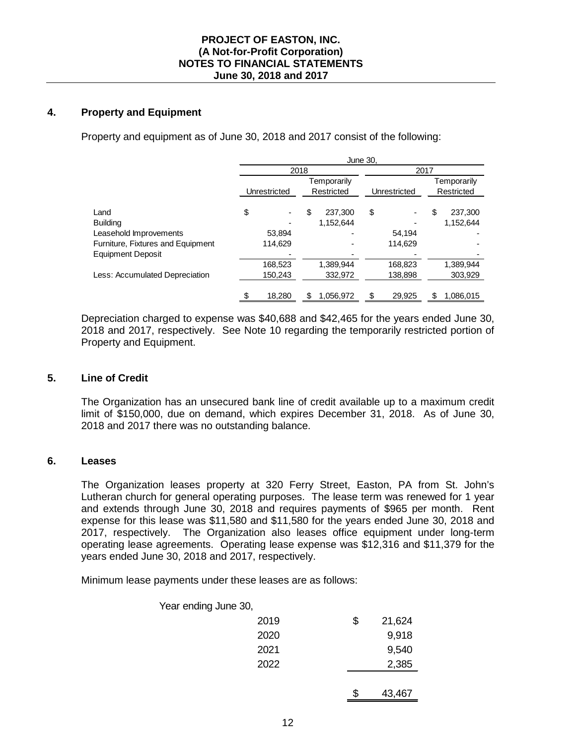## **4. Property and Equipment**

Property and equipment as of June 30, 2018 and 2017 consist of the following:

|                                   | June 30.     |         |    |             |    |              |             |           |  |  |
|-----------------------------------|--------------|---------|----|-------------|----|--------------|-------------|-----------|--|--|
|                                   |              | 2018    |    | 2017        |    |              |             |           |  |  |
|                                   |              |         |    | Temporarily |    |              | Temporarily |           |  |  |
|                                   | Unrestricted |         |    | Restricted  |    | Unrestricted | Restricted  |           |  |  |
| Land                              | \$           |         | \$ | 237.300     | \$ |              | \$          | 237.300   |  |  |
| <b>Building</b>                   |              |         |    | 1,152,644   |    |              |             | 1,152,644 |  |  |
| Leasehold Improvements            |              | 53.894  |    |             |    | 54.194       |             |           |  |  |
| Furniture, Fixtures and Equipment |              | 114.629 |    |             |    | 114.629      |             |           |  |  |
| <b>Equipment Deposit</b>          |              |         |    |             |    |              |             |           |  |  |
|                                   |              | 168,523 |    | 1,389,944   |    | 168,823      |             | 1,389,944 |  |  |
| Less: Accumulated Depreciation    |              | 150,243 |    | 332,972     |    | 138,898      |             | 303,929   |  |  |
|                                   |              | 18,280  | S  | 1,056,972   |    | 29,925       | S           | 1,086,015 |  |  |
|                                   |              |         |    |             |    |              |             |           |  |  |

Depreciation charged to expense was \$40,688 and \$42,465 for the years ended June 30, 2018 and 2017, respectively. See Note 10 regarding the temporarily restricted portion of Property and Equipment.

## **5. Line of Credit**

The Organization has an unsecured bank line of credit available up to a maximum credit limit of \$150,000, due on demand, which expires December 31, 2018. As of June 30, 2018 and 2017 there was no outstanding balance.

## **6. Leases**

The Organization leases property at 320 Ferry Street, Easton, PA from St. John's Lutheran church for general operating purposes. The lease term was renewed for 1 year and extends through June 30, 2018 and requires payments of \$965 per month. Rent expense for this lease was \$11,580 and \$11,580 for the years ended June 30, 2018 and 2017, respectively. The Organization also leases office equipment under long-term operating lease agreements. Operating lease expense was \$12,316 and \$11,379 for the years ended June 30, 2018 and 2017, respectively.

Minimum lease payments under these leases are as follows:

| Year ending June 30, |              |
|----------------------|--------------|
| 2019                 | \$<br>21,624 |
| 2020                 | 9,918        |
| 2021                 | 9,540        |
| 2022                 | 2,385        |
|                      |              |
|                      | \$<br>43,467 |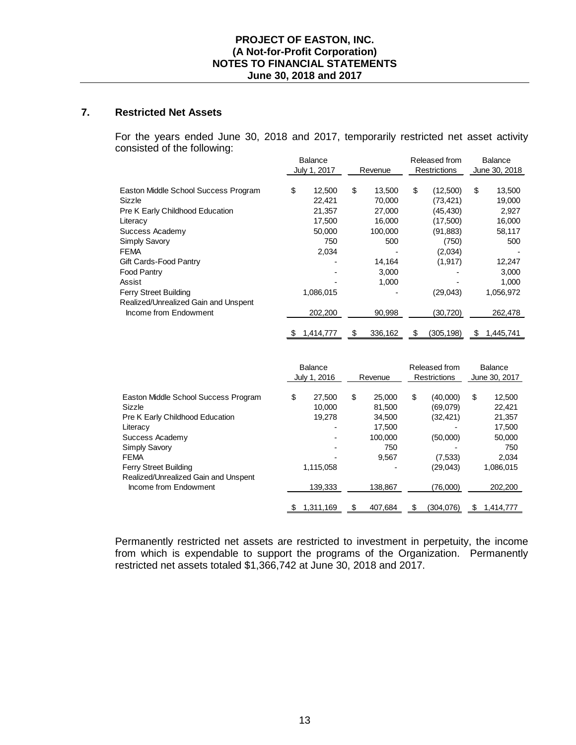#### **7. Restricted Net Assets**

For the years ended June 30, 2018 and 2017, temporarily restricted net asset activity consisted of the following:

|                                      | <b>Balance</b> |              |    |         |                     | Released from | <b>Balance</b> |               |
|--------------------------------------|----------------|--------------|----|---------|---------------------|---------------|----------------|---------------|
|                                      |                | July 1, 2017 |    | Revenue | <b>Restrictions</b> |               |                | June 30, 2018 |
|                                      |                |              |    |         |                     |               |                |               |
| Easton Middle School Success Program | \$             | 12,500       | \$ | 13,500  | \$                  | (12,500)      | \$             | 13,500        |
| Sizzle                               |                | 22,421       |    | 70,000  |                     | (73, 421)     |                | 19,000        |
| Pre K Early Childhood Education      |                | 21,357       |    | 27,000  |                     | (45, 430)     |                | 2,927         |
| Literacy                             |                | 17,500       |    | 16,000  |                     | (17,500)      |                | 16,000        |
| Success Academy                      |                | 50,000       |    | 100,000 |                     | (91, 883)     |                | 58,117        |
| Simply Savory                        |                | 750          |    | 500     |                     | (750)         |                | 500           |
| <b>FEMA</b>                          |                | 2,034        |    |         |                     | (2,034)       |                |               |
| Gift Cards-Food Pantry               |                |              |    | 14,164  |                     | (1, 917)      |                | 12,247        |
| <b>Food Pantry</b>                   |                |              |    | 3,000   |                     |               |                | 3,000         |
| Assist                               |                |              |    | 1,000   |                     |               |                | 1,000         |
| <b>Ferry Street Building</b>         |                | 1,086,015    |    |         |                     | (29,043)      |                | 1,056,972     |
| Realized/Unrealized Gain and Unspent |                |              |    |         |                     |               |                |               |
| Income from Endowment                |                | 202,200      |    | 90,998  |                     | (30, 720)     |                | 262,478       |
|                                      |                |              |    |         |                     |               |                |               |
|                                      |                | 1,414,777    | S  | 336,162 | S                   | (305,198)     | S              | 1,445,741     |

|                                                                                   | Balance<br>July 1, 2016 |                            | Revenue |                            | Released from<br><b>Restrictions</b> |                                   | Balance<br>June 30, 2017 |                            |
|-----------------------------------------------------------------------------------|-------------------------|----------------------------|---------|----------------------------|--------------------------------------|-----------------------------------|--------------------------|----------------------------|
| Easton Middle School Success Program<br>Sizzle<br>Pre K Early Childhood Education | \$                      | 27.500<br>10.000<br>19.278 | \$      | 25,000<br>81,500<br>34.500 | \$                                   | (40,000)<br>(69,079)<br>(32, 421) | \$                       | 12,500<br>22,421<br>21,357 |
| Literacy<br>Success Academy<br>Simply Savory                                      |                         |                            |         | 17.500<br>100,000<br>750   |                                      | (50,000)                          |                          | 17,500<br>50,000<br>750    |
| <b>FEMA</b><br><b>Ferry Street Building</b>                                       |                         | 1.115.058                  |         | 9,567                      |                                      | (7,533)<br>(29,043)               |                          | 2,034<br>1,086,015         |
| Realized/Unrealized Gain and Unspent<br>Income from Endowment                     |                         | 139.333                    |         | 138,867                    |                                      | (76,000)                          |                          | 202,200                    |
|                                                                                   | \$                      | 1,311,169                  | S       | 407,684                    | \$                                   | (304,076)                         | S                        | 1.414.777                  |

Permanently restricted net assets are restricted to investment in perpetuity, the income from which is expendable to support the programs of the Organization. Permanently restricted net assets totaled \$1,366,742 at June 30, 2018 and 2017.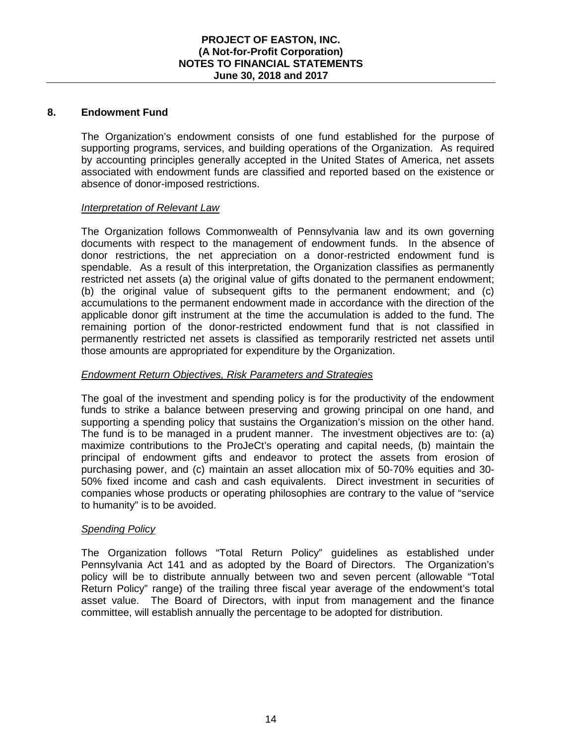## **8. Endowment Fund**

The Organization's endowment consists of one fund established for the purpose of supporting programs, services, and building operations of the Organization. As required by accounting principles generally accepted in the United States of America, net assets associated with endowment funds are classified and reported based on the existence or absence of donor-imposed restrictions.

#### *Interpretation of Relevant Law*

The Organization follows Commonwealth of Pennsylvania law and its own governing documents with respect to the management of endowment funds. In the absence of donor restrictions, the net appreciation on a donor-restricted endowment fund is spendable. As a result of this interpretation, the Organization classifies as permanently restricted net assets (a) the original value of gifts donated to the permanent endowment; (b) the original value of subsequent gifts to the permanent endowment; and (c) accumulations to the permanent endowment made in accordance with the direction of the applicable donor gift instrument at the time the accumulation is added to the fund. The remaining portion of the donor-restricted endowment fund that is not classified in permanently restricted net assets is classified as temporarily restricted net assets until those amounts are appropriated for expenditure by the Organization.

## *Endowment Return Objectives, Risk Parameters and Strategies*

The goal of the investment and spending policy is for the productivity of the endowment funds to strike a balance between preserving and growing principal on one hand, and supporting a spending policy that sustains the Organization's mission on the other hand. The fund is to be managed in a prudent manner. The investment objectives are to: (a) maximize contributions to the ProJeCt's operating and capital needs, (b) maintain the principal of endowment gifts and endeavor to protect the assets from erosion of purchasing power, and (c) maintain an asset allocation mix of 50-70% equities and 30- 50% fixed income and cash and cash equivalents. Direct investment in securities of companies whose products or operating philosophies are contrary to the value of "service to humanity" is to be avoided.

## *Spending Policy*

The Organization follows "Total Return Policy" guidelines as established under Pennsylvania Act 141 and as adopted by the Board of Directors. The Organization's policy will be to distribute annually between two and seven percent (allowable "Total Return Policy" range) of the trailing three fiscal year average of the endowment's total asset value. The Board of Directors, with input from management and the finance committee, will establish annually the percentage to be adopted for distribution.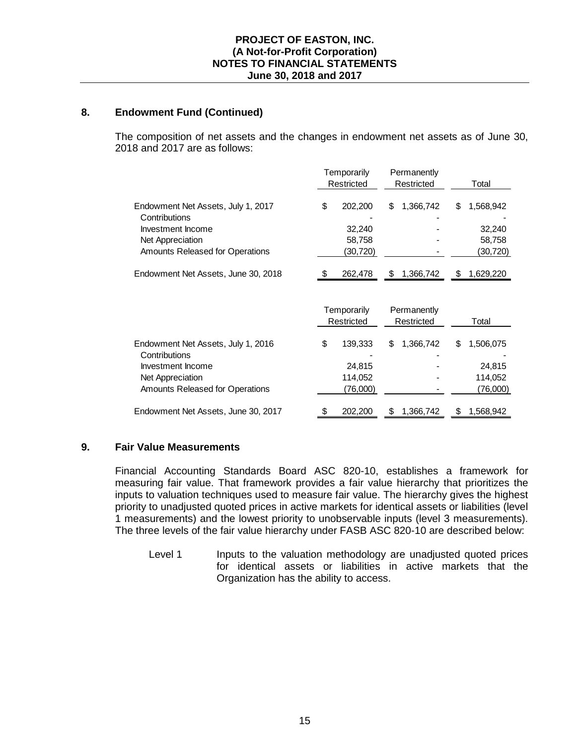## **8. Endowment Fund (Continued)**

The composition of net assets and the changes in endowment net assets as of June 30, 2018 and 2017 are as follows:

|                                                     | Temporarily<br>Restricted |          | Permanently<br>Restricted |           | Total           |  |
|-----------------------------------------------------|---------------------------|----------|---------------------------|-----------|-----------------|--|
| Endowment Net Assets, July 1, 2017<br>Contributions | \$                        | 202,200  | \$.                       | 1,366,742 | \$<br>1,568,942 |  |
| Investment Income                                   |                           | 32,240   |                           |           | 32,240          |  |
| <b>Net Appreciation</b>                             |                           | 58,758   |                           |           | 58,758          |  |
| Amounts Released for Operations                     |                           | (30,720) |                           |           | (30, 720)       |  |
| Endowment Net Assets, June 30, 2018                 | S                         | 262,478  | \$                        | 1,366,742 | \$<br>1,629,220 |  |
|                                                     | Temporarily<br>Restricted |          | Permanently<br>Restricted |           | Total           |  |
| Endowment Net Assets, July 1, 2016<br>Contributions | \$                        | 139,333  | S                         | 1,366,742 | \$<br>1,506,075 |  |
| Investment Income                                   |                           | 24,815   |                           |           | 24,815          |  |
| Net Appreciation                                    |                           | 114,052  |                           |           | 114,052         |  |
|                                                     |                           |          |                           |           |                 |  |
| <b>Amounts Released for Operations</b>              |                           | (76,000) |                           |           | (76,000)        |  |

## **9. Fair Value Measurements**

Financial Accounting Standards Board ASC 820-10, establishes a framework for measuring fair value. That framework provides a fair value hierarchy that prioritizes the inputs to valuation techniques used to measure fair value. The hierarchy gives the highest priority to unadjusted quoted prices in active markets for identical assets or liabilities (level 1 measurements) and the lowest priority to unobservable inputs (level 3 measurements). The three levels of the fair value hierarchy under FASB ASC 820-10 are described below:

Level 1 Inputs to the valuation methodology are unadjusted quoted prices for identical assets or liabilities in active markets that the Organization has the ability to access.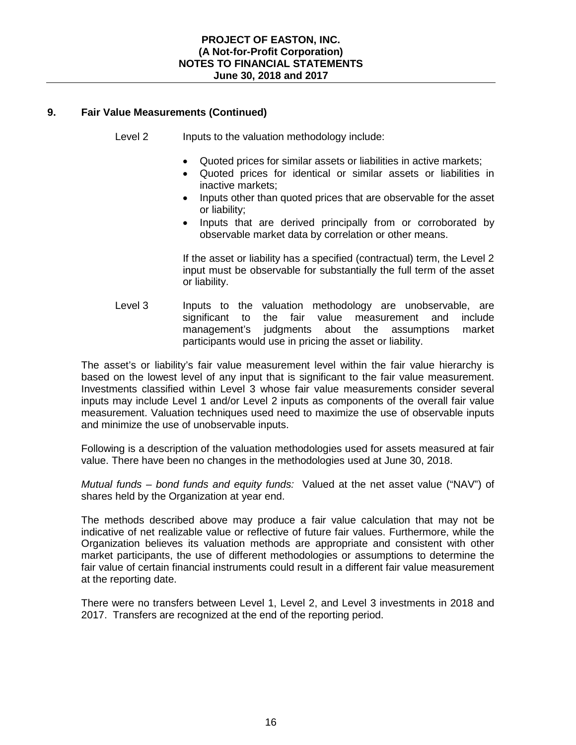# **9. Fair Value Measurements (Continued)**

- Level 2 **Inputs to the valuation methodology include:** 
	- Quoted prices for similar assets or liabilities in active markets;
	- Quoted prices for identical or similar assets or liabilities in inactive markets;
	- Inputs other than quoted prices that are observable for the asset or liability;
	- Inputs that are derived principally from or corroborated by observable market data by correlation or other means.

If the asset or liability has a specified (contractual) term, the Level 2 input must be observable for substantially the full term of the asset or liability.

Level 3 Inputs to the valuation methodology are unobservable, are significant to the fair value measurement and include management's judgments about the assumptions market management's judgments about the assumptions market participants would use in pricing the asset or liability.

The asset's or liability's fair value measurement level within the fair value hierarchy is based on the lowest level of any input that is significant to the fair value measurement. Investments classified within Level 3 whose fair value measurements consider several inputs may include Level 1 and/or Level 2 inputs as components of the overall fair value measurement. Valuation techniques used need to maximize the use of observable inputs and minimize the use of unobservable inputs.

Following is a description of the valuation methodologies used for assets measured at fair value. There have been no changes in the methodologies used at June 30, 2018.

*Mutual funds – bond funds and equity funds:* Valued at the net asset value ("NAV") of shares held by the Organization at year end.

The methods described above may produce a fair value calculation that may not be indicative of net realizable value or reflective of future fair values. Furthermore, while the Organization believes its valuation methods are appropriate and consistent with other market participants, the use of different methodologies or assumptions to determine the fair value of certain financial instruments could result in a different fair value measurement at the reporting date.

There were no transfers between Level 1, Level 2, and Level 3 investments in 2018 and 2017. Transfers are recognized at the end of the reporting period.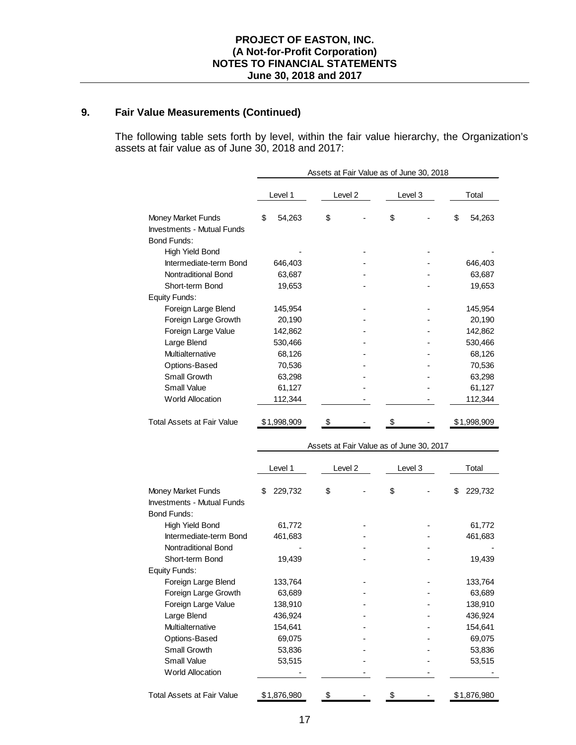## **9. Fair Value Measurements (Continued)**

The following table sets forth by level, within the fair value hierarchy, the Organization's assets at fair value as of June 30, 2018 and 2017:

|                                   | Assets at Fair Value as of June 30, 2018 |         |         |              |  |  |  |
|-----------------------------------|------------------------------------------|---------|---------|--------------|--|--|--|
|                                   | Level 1                                  | Level 2 | Level 3 | Total        |  |  |  |
| <b>Money Market Funds</b>         | \$<br>54,263                             | \$      | \$      | \$<br>54,263 |  |  |  |
| <b>Investments - Mutual Funds</b> |                                          |         |         |              |  |  |  |
| Bond Funds:                       |                                          |         |         |              |  |  |  |
| High Yield Bond                   |                                          |         |         |              |  |  |  |
| Intermediate-term Bond            | 646,403                                  |         |         | 646,403      |  |  |  |
| Nontraditional Bond               | 63,687                                   |         |         | 63,687       |  |  |  |
| Short-term Bond                   | 19,653                                   |         |         | 19,653       |  |  |  |
| Equity Funds:                     |                                          |         |         |              |  |  |  |
| Foreign Large Blend               | 145,954                                  |         |         | 145,954      |  |  |  |
| Foreign Large Growth              | 20,190                                   |         |         | 20,190       |  |  |  |
| Foreign Large Value               | 142,862                                  |         |         | 142,862      |  |  |  |
| Large Blend                       | 530,466                                  |         |         | 530,466      |  |  |  |
| Multialternative                  | 68,126                                   |         |         | 68,126       |  |  |  |
| Options-Based                     | 70,536                                   |         |         | 70,536       |  |  |  |
| Small Growth                      | 63,298                                   |         |         | 63,298       |  |  |  |
| Small Value                       | 61,127                                   |         |         | 61,127       |  |  |  |
| <b>World Allocation</b>           | 112,344                                  |         |         | 112,344      |  |  |  |
|                                   |                                          |         |         |              |  |  |  |
| Total Assets at Fair Value        | \$1,998,909                              |         |         | \$1,998,909  |  |  |  |

|                                   | Assets at Fair Value as of June 30, 2017 |         |         |                |  |  |  |
|-----------------------------------|------------------------------------------|---------|---------|----------------|--|--|--|
|                                   | Level 1                                  | Level 2 | Level 3 | Total          |  |  |  |
|                                   |                                          |         |         |                |  |  |  |
| <b>Money Market Funds</b>         | 229,732<br>S                             | \$      | \$      | 229,732<br>\$. |  |  |  |
| <b>Investments - Mutual Funds</b> |                                          |         |         |                |  |  |  |
| Bond Funds:                       |                                          |         |         |                |  |  |  |
| High Yield Bond                   | 61,772                                   |         |         | 61,772         |  |  |  |
| Intermediate-term Bond            | 461,683                                  |         |         | 461,683        |  |  |  |
| Nontraditional Bond               |                                          |         |         |                |  |  |  |
| Short-term Bond                   | 19,439                                   |         |         | 19,439         |  |  |  |
| Equity Funds:                     |                                          |         |         |                |  |  |  |
| Foreign Large Blend               | 133,764                                  |         |         | 133,764        |  |  |  |
| Foreign Large Growth              | 63,689                                   |         |         | 63,689         |  |  |  |
| Foreign Large Value               | 138,910                                  |         |         | 138,910        |  |  |  |
| Large Blend                       | 436,924                                  |         |         | 436,924        |  |  |  |
| Multialternative                  | 154,641                                  |         |         | 154,641        |  |  |  |
| Options-Based                     | 69,075                                   |         |         | 69,075         |  |  |  |
| Small Growth                      | 53,836                                   |         |         | 53,836         |  |  |  |
| <b>Small Value</b>                | 53,515                                   |         |         | 53,515         |  |  |  |
| <b>World Allocation</b>           |                                          |         |         |                |  |  |  |
| <b>Total Assets at Fair Value</b> | \$1,876,980                              | S       |         | \$1,876,980    |  |  |  |